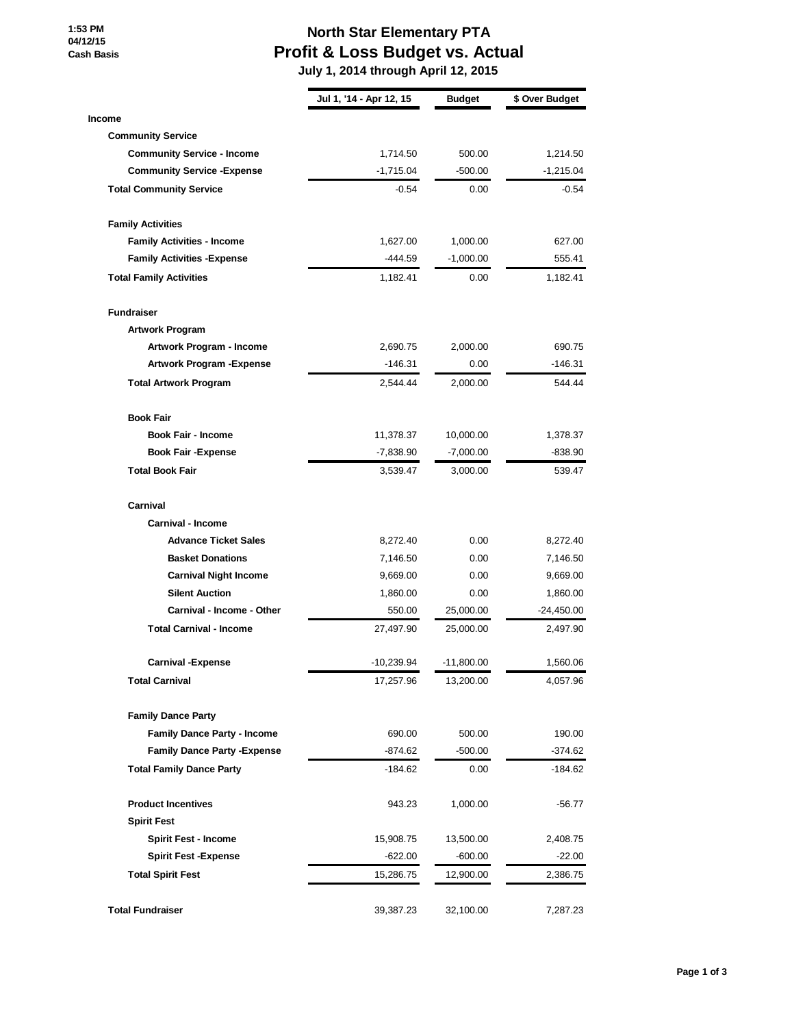**1:53 PM 04/12/15 Cash Basis**

## **North Star Elementary PTA Profit & Loss Budget vs. Actual**

 **July 1, 2014 through April 12, 2015**

|                                     | Jul 1, '14 - Apr 12, 15 | <b>Budget</b> | \$ Over Budget |
|-------------------------------------|-------------------------|---------------|----------------|
| <b>Income</b>                       |                         |               |                |
| <b>Community Service</b>            |                         |               |                |
| <b>Community Service - Income</b>   | 1,714.50                | 500.00        | 1,214.50       |
| <b>Community Service - Expense</b>  | $-1,715.04$             | $-500.00$     | $-1,215.04$    |
| <b>Total Community Service</b>      | $-0.54$                 | 0.00          | $-0.54$        |
| <b>Family Activities</b>            |                         |               |                |
| <b>Family Activities - Income</b>   | 1,627.00                | 1,000.00      | 627.00         |
| <b>Family Activities - Expense</b>  | $-444.59$               | $-1,000.00$   | 555.41         |
| <b>Total Family Activities</b>      | 1,182.41                | 0.00          | 1,182.41       |
| <b>Fundraiser</b>                   |                         |               |                |
| <b>Artwork Program</b>              |                         |               |                |
| Artwork Program - Income            | 2,690.75                | 2,000.00      | 690.75         |
| <b>Artwork Program - Expense</b>    | $-146.31$               | 0.00          | -146.31        |
| <b>Total Artwork Program</b>        | 2,544.44                | 2,000.00      | 544.44         |
| <b>Book Fair</b>                    |                         |               |                |
| <b>Book Fair - Income</b>           | 11,378.37               | 10,000.00     | 1,378.37       |
| <b>Book Fair -Expense</b>           | -7,838.90               | $-7,000.00$   | $-838.90$      |
| <b>Total Book Fair</b>              | 3,539.47                | 3,000.00      | 539.47         |
| Carnival                            |                         |               |                |
| <b>Carnival - Income</b>            |                         |               |                |
| <b>Advance Ticket Sales</b>         | 8,272.40                | 0.00          | 8,272.40       |
| <b>Basket Donations</b>             | 7,146.50                | 0.00          | 7,146.50       |
| <b>Carnival Night Income</b>        | 9,669.00                | 0.00          | 9,669.00       |
| <b>Silent Auction</b>               | 1,860.00                | 0.00          | 1,860.00       |
| Carnival - Income - Other           | 550.00                  | 25,000.00     | -24,450.00     |
| <b>Total Carnival - Income</b>      | 27,497.90               | 25,000.00     | 2,497.90       |
| <b>Carnival -Expense</b>            | $-10,239.94$            | $-11,800.00$  | 1,560.06       |
| <b>Total Carnival</b>               | 17,257.96               | 13,200.00     | 4,057.96       |
| <b>Family Dance Party</b>           |                         |               |                |
| <b>Family Dance Party - Income</b>  | 690.00                  | 500.00        | 190.00         |
| <b>Family Dance Party - Expense</b> | $-874.62$               | $-500.00$     | -374.62        |
| <b>Total Family Dance Party</b>     | -184.62                 | 0.00          | -184.62        |
| <b>Product Incentives</b>           | 943.23                  | 1,000.00      | -56.77         |
| <b>Spirit Fest</b>                  |                         |               |                |
| <b>Spirit Fest - Income</b>         | 15,908.75               | 13,500.00     | 2,408.75       |
| <b>Spirit Fest -Expense</b>         | -622.00                 | $-600.00$     | $-22.00$       |
| <b>Total Spirit Fest</b>            | 15,286.75               | 12,900.00     | 2,386.75       |
| <b>Total Fundraiser</b>             | 39,387.23               | 32,100.00     | 7,287.23       |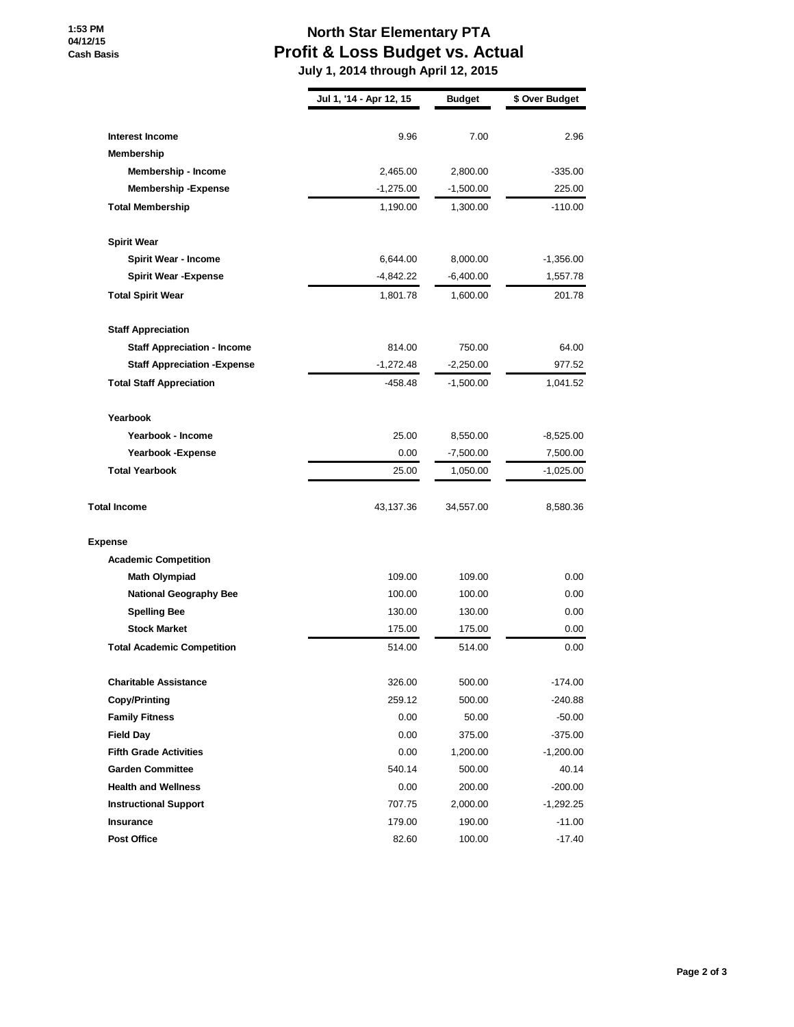## **North Star Elementary PTA Profit & Loss Budget vs. Actual July 1, 2014 through April 12, 2015**

**Jul 1, '14 - Apr 12, 15 Budget \$ Over Budget Interest Income** 9.96 7.00 2.96 **Membership Membership - Income** 2,465.00 2,800.00 -335.00 **Membership -Expense**  $-1,275.00$   $-1,500.00$   $225.00$ **Total Membership** 1,190.00 1,300.00 -110.00 **Spirit Wear Spirit Wear - Income 6,644.00 6,644.00 6,000.00 -1,356.00 Spirit Wear -Expense**  $-4,842.22$   $-6,400.00$   $1,557.78$ **Total Spirit Wear** 201.78 1,600.00 201.78 201.78 **Staff Appreciation Staff Appreciation - Income** 814.00 750.00 64.00 **Staff Appreciation -Expense**  $-1,272.48$   $-2,250.00$  977.52 **Total Staff Appreciation**  $-458.48$   $-1,500.00$   $1,041.52$ **Yearbook Yearbook - Income** 25.00 8,550.00 -8,525.00 **Yearbook -Expense** 0.00 -7,500.00 7,500.00 **Total Yearbook** 25.00 1,050.00 -1,025.00 **Total Income** 8,580.36 **43,137.36** 34,557.00 8,580.36 **Expense Academic Competition Math Olympiad** 109.00 109.00 109.00 0.00 **National Geography Bee** 100.00 100.00 0.00 0.00 **Spelling Bee** 130.00 130.00 0.00 **Stock Market 175.00** 175.00 **0.00 0.00 Total Academic Competition** 614.00 514.00 514.00 514.00 514.00 0.00 **Charitable Assistance** 174.00 **Copy/Printing 259.12 500.00 -240.88 Family Fitness Family Fitness 1.000** 50.00 **50.00** -50.00 **Field Day** 0.00 375.00 -375.00 **Fifth Grade Activities 1,200.00**  $\frac{1}{200.00}$  -1,200.00 **Garden Committee** 540.14 500.00 40.14 **Health and Wellness** 0.00 200.00 -200.00 **Instructional Support** 707.75 2,000.00 -1,292.25 **Insurance** 179.00 190.00 -11.00 **Post Office** 82.60 100.00 -17.40